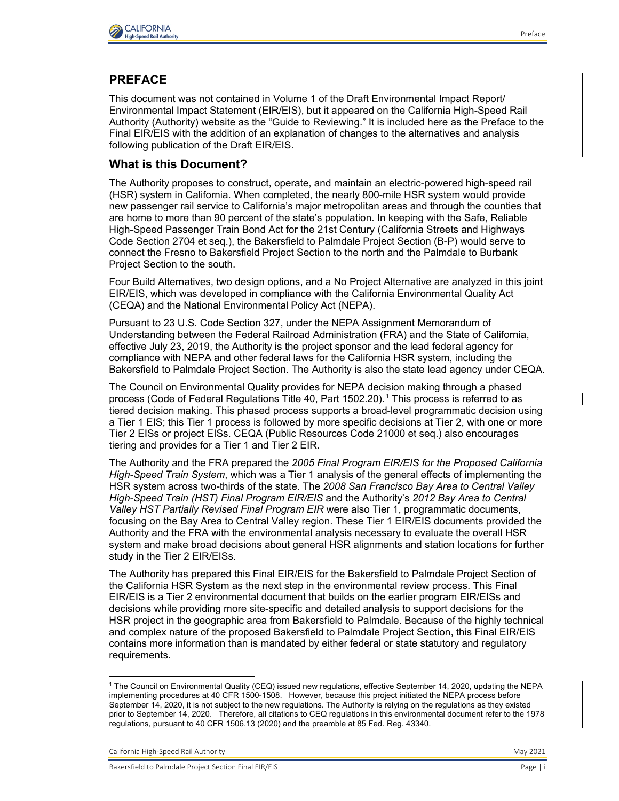

## **PREFACE**

This document was not contained in Volume 1 of the Draft Environmental Impact Report/ Environmental Impact Statement (EIR/EIS), but it appeared on the California High-Speed Rail Authority (Authority) website as the "Guide to Reviewing." It is included here as the Preface to the Final EIR/EIS with the addition of an explanation of changes to the alternatives and analysis following publication of the Draft EIR/EIS.

### **What is this Document?**

The Authority proposes to construct, operate, and maintain an electric-powered high-speed rail (HSR) system in California. When completed, the nearly 800-mile HSR system would provide new passenger rail service to California's major metropolitan areas and through the counties that are home to more than 90 percent of the state's population. In keeping with the Safe, Reliable High-Speed Passenger Train Bond Act for the 21st Century (California Streets and Highways Code Section 2704 et seq.), the Bakersfield to Palmdale Project Section (B-P) would serve to connect the Fresno to Bakersfield Project Section to the north and the Palmdale to Burbank Project Section to the south.

Four Build Alternatives, two design options, and a No Project Alternative are analyzed in this joint EIR/EIS, which was developed in compliance with the California Environmental Quality Act (CEQA) and the National Environmental Policy Act (NEPA).

Pursuant to 23 U.S. Code Section 327, under the NEPA Assignment Memorandum of Understanding between the Federal Railroad Administration (FRA) and the State of California, effective July 23, 2019, the Authority is the project sponsor and the lead federal agency for compliance with NEPA and other federal laws for the California HSR system, including the Bakersfield to Palmdale Project Section. The Authority is also the state lead agency under CEQA.

The Council on Environmental Quality provides for NEPA decision making through a phased process (Code of Federal Regulations Title 40, Part 1502.20).[1](#page-0-0) This process is referred to as tiered decision making. This phased process supports a broad-level programmatic decision using a Tier 1 EIS; this Tier 1 process is followed by more specific decisions at Tier 2, with one or more Tier 2 EISs or project EISs. CEQA (Public Resources Code 21000 et seq.) also encourages tiering and provides for a Tier 1 and Tier 2 EIR.

The Authority and the FRA prepared the *2005 Final Program EIR/EIS for the Proposed California High-Speed Train System*, which was a Tier 1 analysis of the general effects of implementing the HSR system across two-thirds of the state. The *2008 San Francisco Bay Area to Central Valley High-Speed Train (HST) Final Program EIR/EIS* and the Authority's *2012 Bay Area to Central Valley HST Partially Revised Final Program EIR* were also Tier 1, programmatic documents, focusing on the Bay Area to Central Valley region. These Tier 1 EIR/EIS documents provided the Authority and the FRA with the environmental analysis necessary to evaluate the overall HSR system and make broad decisions about general HSR alignments and station locations for further study in the Tier 2 EIR/EISs.

The Authority has prepared this Final EIR/EIS for the Bakersfield to Palmdale Project Section of the California HSR System as the next step in the environmental review process. This Final EIR/EIS is a Tier 2 environmental document that builds on the earlier program EIR/EISs and decisions while providing more site-specific and detailed analysis to support decisions for the HSR project in the geographic area from Bakersfield to Palmdale. Because of the highly technical and complex nature of the proposed Bakersfield to Palmdale Project Section, this Final EIR/EIS contains more information than is mandated by either federal or state statutory and regulatory requirements.

<span id="page-0-0"></span><sup>1</sup> The Council on Environmental Quality (CEQ) issued new regulations, effective September 14, 2020, updating the NEPA implementing procedures at 40 CFR 1500-1508. However, because this project initiated the NEPA process before September 14, 2020, it is not subject to the new regulations. The Authority is relying on the regulations as they existed prior to September 14, 2020. Therefore, all citations to CEQ regulations in this environmental document refer to the 1978 regulations, pursuant to 40 CFR 1506.13 (2020) and the preamble at 85 Fed. Reg. 43340.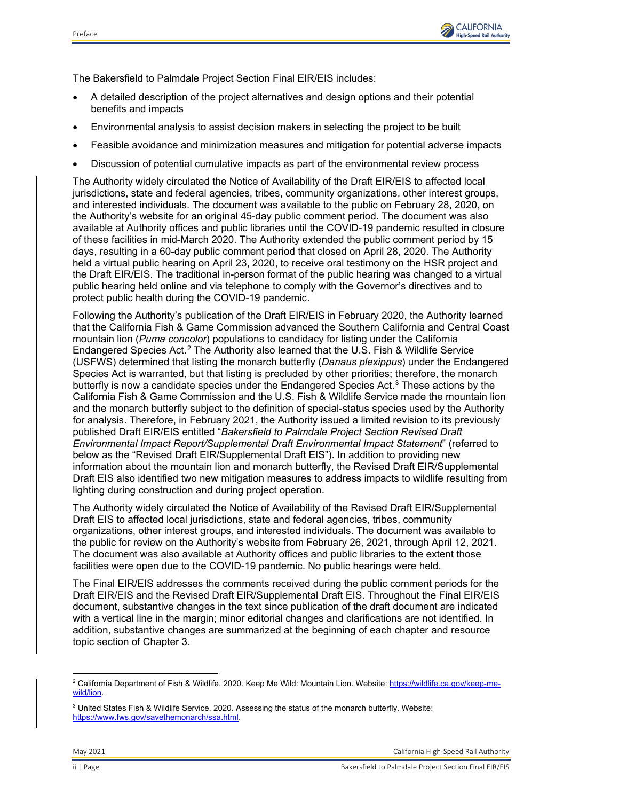

The Bakersfield to Palmdale Project Section Final EIR/EIS includes:

- A detailed description of the project alternatives and design options and their potential benefits and impacts
- Environmental analysis to assist decision makers in selecting the project to be built
- Feasible avoidance and minimization measures and mitigation for potential adverse impacts
- Discussion of potential cumulative impacts as part of the environmental review process

The Authority widely circulated the Notice of Availability of the Draft EIR/EIS to affected local jurisdictions, state and federal agencies, tribes, community organizations, other interest groups, and interested individuals. The document was available to the public on February 28, 2020, on the Authority's website for an original 45-day public comment period. The document was also available at Authority offices and public libraries until the COVID-19 pandemic resulted in closure of these facilities in mid-March 2020. The Authority extended the public comment period by 15 days, resulting in a 60-day public comment period that closed on April 28, 2020. The Authority held a virtual public hearing on April 23, 2020, to receive oral testimony on the HSR project and the Draft EIR/EIS. The traditional in-person format of the public hearing was changed to a virtual public hearing held online and via telephone to comply with the Governor's directives and to protect public health during the COVID-19 pandemic.

Following the Authority's publication of the Draft EIR/EIS in February 2020, the Authority learned that the California Fish & Game Commission advanced the Southern California and Central Coast mountain lion (*Puma concolor*) populations to candidacy for listing under the California Endangered Species Act.[2](#page-1-0) The Authority also learned that the U.S. Fish & Wildlife Service (USFWS) determined that listing the monarch butterfly (*Danaus plexippus*) under the Endangered Species Act is warranted, but that listing is precluded by other priorities; therefore, the monarch butterfly is now a candidate species under the Endangered Species Act. [3](#page-1-1) These actions by the California Fish & Game Commission and the U.S. Fish & Wildlife Service made the mountain lion and the monarch butterfly subject to the definition of special-status species used by the Authority for analysis. Therefore, in February 2021, the Authority issued a limited revision to its previously published Draft EIR/EIS entitled "*Bakersfield to Palmdale Project Section Revised Draft Environmental Impact Report/Supplemental Draft Environmental Impact Statement*" (referred to below as the "Revised Draft EIR/Supplemental Draft EIS"). In addition to providing new information about the mountain lion and monarch butterfly, the Revised Draft EIR/Supplemental Draft EIS also identified two new mitigation measures to address impacts to wildlife resulting from lighting during construction and during project operation.

The Authority widely circulated the Notice of Availability of the Revised Draft EIR/Supplemental Draft EIS to affected local jurisdictions, state and federal agencies, tribes, community organizations, other interest groups, and interested individuals. The document was available to the public for review on the Authority's website from February 26, 2021, through April 12, 2021. The document was also available at Authority offices and public libraries to the extent those facilities were open due to the COVID-19 pandemic. No public hearings were held.

The Final EIR/EIS addresses the comments received during the public comment periods for the Draft EIR/EIS and the Revised Draft EIR/Supplemental Draft EIS. Throughout the Final EIR/EIS document, substantive changes in the text since publication of the draft document are indicated with a vertical line in the margin; minor editorial changes and clarifications are not identified. In addition, substantive changes are summarized at the beginning of each chapter and resource topic section of Chapter 3.

<span id="page-1-0"></span><sup>&</sup>lt;sup>2</sup> California Department of Fish & Wildlife. 2020. Keep Me Wild: Mountain Lion. Website: <u>https://wildlife.ca.gov/keep-me-</u> [wild/lion.](https://wildlife.ca.gov/keep-me-wild/lion) 

<span id="page-1-1"></span> $3$  United States Fish & Wildlife Service. 2020. Assessing the status of the monarch butterfly. Website: [https://www.fws.gov/savethemonarch/ssa.html.](https://www.fws.gov/savethemonarch/ssa.html)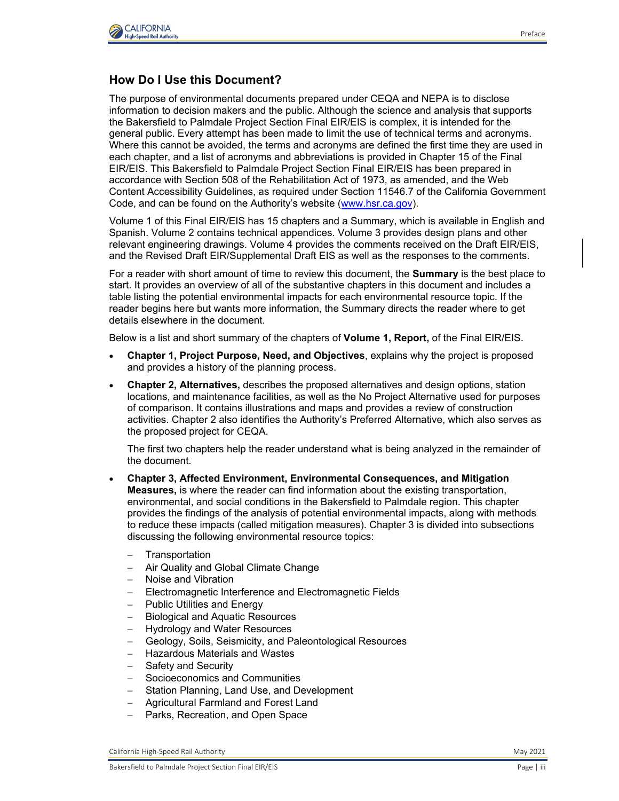

# **How Do I Use this Document?**

The purpose of environmental documents prepared under CEQA and NEPA is to disclose information to decision makers and the public. Although the science and analysis that supports the Bakersfield to Palmdale Project Section Final EIR/EIS is complex, it is intended for the general public. Every attempt has been made to limit the use of technical terms and acronyms. Where this cannot be avoided, the terms and acronyms are defined the first time they are used in each chapter, and a list of acronyms and abbreviations is provided in Chapter 15 of the Final EIR/EIS. This Bakersfield to Palmdale Project Section Final EIR/EIS has been prepared in accordance with Section 508 of the Rehabilitation Act of 1973, as amended, and the Web Content Accessibility Guidelines, as required under Section 11546.7 of the California Government Code, and can be found on the Authority's website [\(www.hsr.ca.gov\)](http://www.hsr.ca.gov/).

Volume 1 of this Final EIR/EIS has 15 chapters and a Summary, which is available in English and Spanish. Volume 2 contains technical appendices. Volume 3 provides design plans and other relevant engineering drawings. Volume 4 provides the comments received on the Draft EIR/EIS, and the Revised Draft EIR/Supplemental Draft EIS as well as the responses to the comments.

For a reader with short amount of time to review this document, the **Summary** is the best place to start. It provides an overview of all of the substantive chapters in this document and includes a table listing the potential environmental impacts for each environmental resource topic. If the reader begins here but wants more information, the Summary directs the reader where to get details elsewhere in the document.

Below is a list and short summary of the chapters of **Volume 1, Report,** of the Final EIR/EIS.

- **Chapter 1, Project Purpose, Need, and Objectives**, explains why the project is proposed and provides a history of the planning process.
- **Chapter 2, Alternatives,** describes the proposed alternatives and design options, station locations, and maintenance facilities, as well as the No Project Alternative used for purposes of comparison. It contains illustrations and maps and provides a review of construction activities. Chapter 2 also identifies the Authority's Preferred Alternative, which also serves as the proposed project for CEQA.

The first two chapters help the reader understand what is being analyzed in the remainder of the document.

- **Chapter 3, Affected Environment, Environmental Consequences, and Mitigation Measures,** is where the reader can find information about the existing transportation, environmental, and social conditions in the Bakersfield to Palmdale region. This chapter provides the findings of the analysis of potential environmental impacts, along with methods to reduce these impacts (called mitigation measures). Chapter 3 is divided into subsections discussing the following environmental resource topics:
	- − Transportation
	- − Air Quality and Global Climate Change
	- − Noise and Vibration
	- Electromagnetic Interference and Electromagnetic Fields
	- − Public Utilities and Energy
	- − Biological and Aquatic Resources
	- − Hydrology and Water Resources
	- Geology, Soils, Seismicity, and Paleontological Resources
	- − Hazardous Materials and Wastes
	- − Safety and Security
	- Socioeconomics and Communities
	- − Station Planning, Land Use, and Development
	- − Agricultural Farmland and Forest Land
	- − Parks, Recreation, and Open Space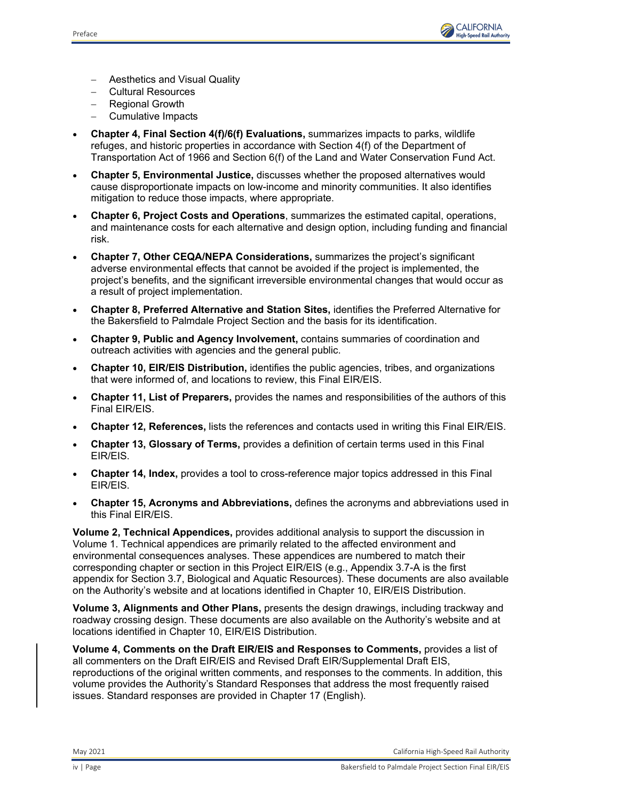

- − Aesthetics and Visual Quality
- − Cultural Resources
- − Regional Growth
- − Cumulative Impacts
- **Chapter 4, Final Section 4(f)/6(f) Evaluations,** summarizes impacts to parks, wildlife refuges, and historic properties in accordance with Section 4(f) of the Department of Transportation Act of 1966 and Section 6(f) of the Land and Water Conservation Fund Act.
- **Chapter 5, Environmental Justice,** discusses whether the proposed alternatives would cause disproportionate impacts on low-income and minority communities. It also identifies mitigation to reduce those impacts, where appropriate.
- **Chapter 6, Project Costs and Operations**, summarizes the estimated capital, operations, and maintenance costs for each alternative and design option, including funding and financial risk.
- **Chapter 7, Other CEQA/NEPA Considerations,** summarizes the project's significant adverse environmental effects that cannot be avoided if the project is implemented, the project's benefits, and the significant irreversible environmental changes that would occur as a result of project implementation.
- **Chapter 8, Preferred Alternative and Station Sites,** identifies the Preferred Alternative for the Bakersfield to Palmdale Project Section and the basis for its identification.
- **Chapter 9, Public and Agency Involvement,** contains summaries of coordination and outreach activities with agencies and the general public.
- **Chapter 10, EIR/EIS Distribution,** identifies the public agencies, tribes, and organizations that were informed of, and locations to review, this Final EIR/EIS.
- **Chapter 11, List of Preparers,** provides the names and responsibilities of the authors of this Final EIR/EIS.
- **Chapter 12, References,** lists the references and contacts used in writing this Final EIR/EIS.
- **Chapter 13, Glossary of Terms,** provides a definition of certain terms used in this Final EIR/EIS.
- **Chapter 14, Index,** provides a tool to cross-reference major topics addressed in this Final EIR/EIS.
- **Chapter 15, Acronyms and Abbreviations,** defines the acronyms and abbreviations used in this Final EIR/EIS.

**Volume 2, Technical Appendices,** provides additional analysis to support the discussion in Volume 1. Technical appendices are primarily related to the affected environment and environmental consequences analyses. These appendices are numbered to match their corresponding chapter or section in this Project EIR/EIS (e.g., Appendix 3.7-A is the first appendix for Section 3.7, Biological and Aquatic Resources). These documents are also available on the Authority's website and at locations identified in Chapter 10, EIR/EIS Distribution.

**Volume 3, Alignments and Other Plans,** presents the design drawings, including trackway and roadway crossing design. These documents are also available on the Authority's website and at locations identified in Chapter 10, EIR/EIS Distribution.

**Volume 4, Comments on the Draft EIR/EIS and Responses to Comments,** provides a list of all commenters on the Draft EIR/EIS and Revised Draft EIR/Supplemental Draft EIS, reproductions of the original written comments, and responses to the comments. In addition, this volume provides the Authority's Standard Responses that address the most frequently raised issues. Standard responses are provided in Chapter 17 (English).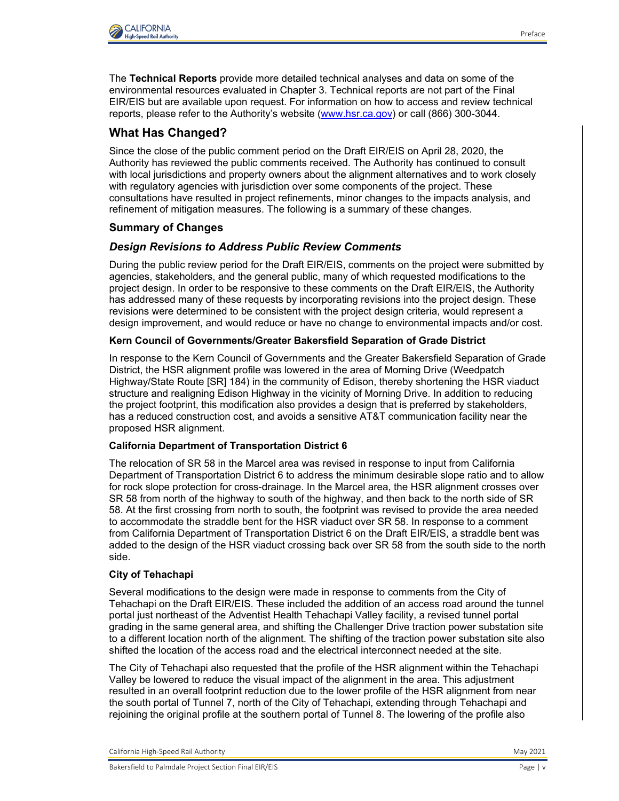

The **Technical Reports** provide more detailed technical analyses and data on some of the environmental resources evaluated in Chapter 3. Technical reports are not part of the Final EIR/EIS but are available upon request. For information on how to access and review technical reports, please refer to the Authority's website [\(www.hsr.ca.gov\)](http://www.hsr.ca.gov/) or call (866) 300-3044.

# **What Has Changed?**

Since the close of the public comment period on the Draft EIR/EIS on April 28, 2020, the Authority has reviewed the public comments received. The Authority has continued to consult with local jurisdictions and property owners about the alignment alternatives and to work closely with regulatory agencies with jurisdiction over some components of the project. These consultations have resulted in project refinements, minor changes to the impacts analysis, and refinement of mitigation measures. The following is a summary of these changes.

## **Summary of Changes**

## *Design Revisions to Address Public Review Comments*

During the public review period for the Draft EIR/EIS, comments on the project were submitted by agencies, stakeholders, and the general public, many of which requested modifications to the project design. In order to be responsive to these comments on the Draft EIR/EIS, the Authority has addressed many of these requests by incorporating revisions into the project design. These revisions were determined to be consistent with the project design criteria, would represent a design improvement, and would reduce or have no change to environmental impacts and/or cost.

## **Kern Council of Governments/Greater Bakersfield Separation of Grade District**

In response to the Kern Council of Governments and the Greater Bakersfield Separation of Grade District, the HSR alignment profile was lowered in the area of Morning Drive (Weedpatch Highway/State Route [SR] 184) in the community of Edison, thereby shortening the HSR viaduct structure and realigning Edison Highway in the vicinity of Morning Drive. In addition to reducing the project footprint, this modification also provides a design that is preferred by stakeholders, has a reduced construction cost, and avoids a sensitive AT&T communication facility near the proposed HSR alignment.

### **California Department of Transportation District 6**

The relocation of SR 58 in the Marcel area was revised in response to input from California Department of Transportation District 6 to address the minimum desirable slope ratio and to allow for rock slope protection for cross-drainage. In the Marcel area, the HSR alignment crosses over SR 58 from north of the highway to south of the highway, and then back to the north side of SR 58. At the first crossing from north to south, the footprint was revised to provide the area needed to accommodate the straddle bent for the HSR viaduct over SR 58. In response to a comment from California Department of Transportation District 6 on the Draft EIR/EIS, a straddle bent was added to the design of the HSR viaduct crossing back over SR 58 from the south side to the north side.

### **City of Tehachapi**

Several modifications to the design were made in response to comments from the City of Tehachapi on the Draft EIR/EIS. These included the addition of an access road around the tunnel portal just northeast of the Adventist Health Tehachapi Valley facility, a revised tunnel portal grading in the same general area, and shifting the Challenger Drive traction power substation site to a different location north of the alignment. The shifting of the traction power substation site also shifted the location of the access road and the electrical interconnect needed at the site.

The City of Tehachapi also requested that the profile of the HSR alignment within the Tehachapi Valley be lowered to reduce the visual impact of the alignment in the area. This adjustment resulted in an overall footprint reduction due to the lower profile of the HSR alignment from near the south portal of Tunnel 7, north of the City of Tehachapi, extending through Tehachapi and rejoining the original profile at the southern portal of Tunnel 8. The lowering of the profile also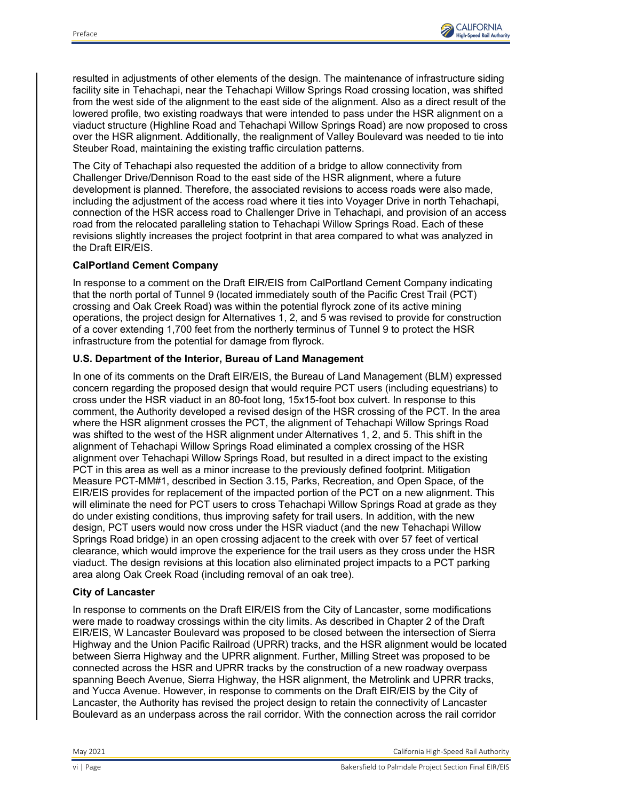

resulted in adjustments of other elements of the design. The maintenance of infrastructure siding facility site in Tehachapi, near the Tehachapi Willow Springs Road crossing location, was shifted from the west side of the alignment to the east side of the alignment. Also as a direct result of the lowered profile, two existing roadways that were intended to pass under the HSR alignment on a viaduct structure (Highline Road and Tehachapi Willow Springs Road) are now proposed to cross over the HSR alignment. Additionally, the realignment of Valley Boulevard was needed to tie into Steuber Road, maintaining the existing traffic circulation patterns.

The City of Tehachapi also requested the addition of a bridge to allow connectivity from Challenger Drive/Dennison Road to the east side of the HSR alignment, where a future development is planned. Therefore, the associated revisions to access roads were also made, including the adjustment of the access road where it ties into Voyager Drive in north Tehachapi, connection of the HSR access road to Challenger Drive in Tehachapi, and provision of an access road from the relocated paralleling station to Tehachapi Willow Springs Road. Each of these revisions slightly increases the project footprint in that area compared to what was analyzed in the Draft EIR/EIS.

### **CalPortland Cement Company**

In response to a comment on the Draft EIR/EIS from CalPortland Cement Company indicating that the north portal of Tunnel 9 (located immediately south of the Pacific Crest Trail (PCT) crossing and Oak Creek Road) was within the potential flyrock zone of its active mining operations, the project design for Alternatives 1, 2, and 5 was revised to provide for construction of a cover extending 1,700 feet from the northerly terminus of Tunnel 9 to protect the HSR infrastructure from the potential for damage from flyrock.

### **U.S. Department of the Interior, Bureau of Land Management**

In one of its comments on the Draft EIR/EIS, the Bureau of Land Management (BLM) expressed concern regarding the proposed design that would require PCT users (including equestrians) to cross under the HSR viaduct in an 80-foot long, 15x15-foot box culvert. In response to this comment, the Authority developed a revised design of the HSR crossing of the PCT. In the area where the HSR alignment crosses the PCT, the alignment of Tehachapi Willow Springs Road was shifted to the west of the HSR alignment under Alternatives 1, 2, and 5. This shift in the alignment of Tehachapi Willow Springs Road eliminated a complex crossing of the HSR alignment over Tehachapi Willow Springs Road, but resulted in a direct impact to the existing PCT in this area as well as a minor increase to the previously defined footprint. Mitigation Measure PCT-MM#1, described in Section 3.15, Parks, Recreation, and Open Space, of the EIR/EIS provides for replacement of the impacted portion of the PCT on a new alignment. This will eliminate the need for PCT users to cross Tehachapi Willow Springs Road at grade as they do under existing conditions, thus improving safety for trail users. In addition, with the new design, PCT users would now cross under the HSR viaduct (and the new Tehachapi Willow Springs Road bridge) in an open crossing adjacent to the creek with over 57 feet of vertical clearance, which would improve the experience for the trail users as they cross under the HSR viaduct. The design revisions at this location also eliminated project impacts to a PCT parking area along Oak Creek Road (including removal of an oak tree).

#### **City of Lancaster**

In response to comments on the Draft EIR/EIS from the City of Lancaster, some modifications were made to roadway crossings within the city limits. As described in Chapter 2 of the Draft EIR/EIS, W Lancaster Boulevard was proposed to be closed between the intersection of Sierra Highway and the Union Pacific Railroad (UPRR) tracks, and the HSR alignment would be located between Sierra Highway and the UPRR alignment. Further, Milling Street was proposed to be connected across the HSR and UPRR tracks by the construction of a new roadway overpass spanning Beech Avenue, Sierra Highway, the HSR alignment, the Metrolink and UPRR tracks, and Yucca Avenue. However, in response to comments on the Draft EIR/EIS by the City of Lancaster, the Authority has revised the project design to retain the connectivity of Lancaster Boulevard as an underpass across the rail corridor. With the connection across the rail corridor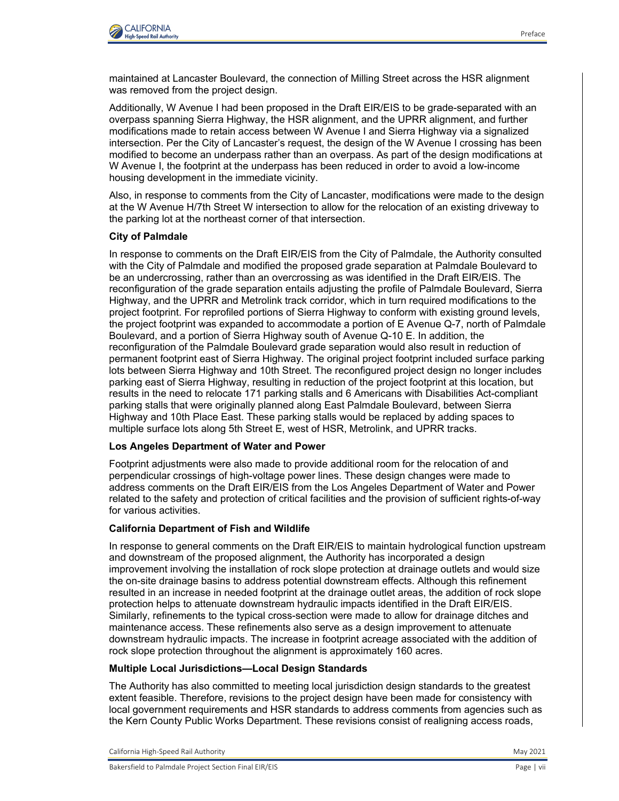

maintained at Lancaster Boulevard, the connection of Milling Street across the HSR alignment was removed from the project design.

Additionally, W Avenue I had been proposed in the Draft EIR/EIS to be grade-separated with an overpass spanning Sierra Highway, the HSR alignment, and the UPRR alignment, and further modifications made to retain access between W Avenue I and Sierra Highway via a signalized intersection. Per the City of Lancaster's request, the design of the W Avenue I crossing has been modified to become an underpass rather than an overpass. As part of the design modifications at W Avenue I, the footprint at the underpass has been reduced in order to avoid a low-income housing development in the immediate vicinity.

Also, in response to comments from the City of Lancaster, modifications were made to the design at the W Avenue H/7th Street W intersection to allow for the relocation of an existing driveway to the parking lot at the northeast corner of that intersection.

#### **City of Palmdale**

In response to comments on the Draft EIR/EIS from the City of Palmdale, the Authority consulted with the City of Palmdale and modified the proposed grade separation at Palmdale Boulevard to be an undercrossing, rather than an overcrossing as was identified in the Draft EIR/EIS. The reconfiguration of the grade separation entails adjusting the profile of Palmdale Boulevard, Sierra Highway, and the UPRR and Metrolink track corridor, which in turn required modifications to the project footprint. For reprofiled portions of Sierra Highway to conform with existing ground levels, the project footprint was expanded to accommodate a portion of E Avenue Q-7, north of Palmdale Boulevard, and a portion of Sierra Highway south of Avenue Q-10 E. In addition, the reconfiguration of the Palmdale Boulevard grade separation would also result in reduction of permanent footprint east of Sierra Highway. The original project footprint included surface parking lots between Sierra Highway and 10th Street. The reconfigured project design no longer includes parking east of Sierra Highway, resulting in reduction of the project footprint at this location, but results in the need to relocate 171 parking stalls and 6 Americans with Disabilities Act-compliant parking stalls that were originally planned along East Palmdale Boulevard, between Sierra Highway and 10th Place East. These parking stalls would be replaced by adding spaces to multiple surface lots along 5th Street E, west of HSR, Metrolink, and UPRR tracks.

#### **Los Angeles Department of Water and Power**

Footprint adjustments were also made to provide additional room for the relocation of and perpendicular crossings of high-voltage power lines. These design changes were made to address comments on the Draft EIR/EIS from the Los Angeles Department of Water and Power related to the safety and protection of critical facilities and the provision of sufficient rights-of-way for various activities.

#### **California Department of Fish and Wildlife**

In response to general comments on the Draft EIR/EIS to maintain hydrological function upstream and downstream of the proposed alignment, the Authority has incorporated a design improvement involving the installation of rock slope protection at drainage outlets and would size the on-site drainage basins to address potential downstream effects. Although this refinement resulted in an increase in needed footprint at the drainage outlet areas, the addition of rock slope protection helps to attenuate downstream hydraulic impacts identified in the Draft EIR/EIS. Similarly, refinements to the typical cross-section were made to allow for drainage ditches and maintenance access. These refinements also serve as a design improvement to attenuate downstream hydraulic impacts. The increase in footprint acreage associated with the addition of rock slope protection throughout the alignment is approximately 160 acres.

#### **Multiple Local Jurisdictions—Local Design Standards**

The Authority has also committed to meeting local jurisdiction design standards to the greatest extent feasible. Therefore, revisions to the project design have been made for consistency with local government requirements and HSR standards to address comments from agencies such as the Kern County Public Works Department. These revisions consist of realigning access roads,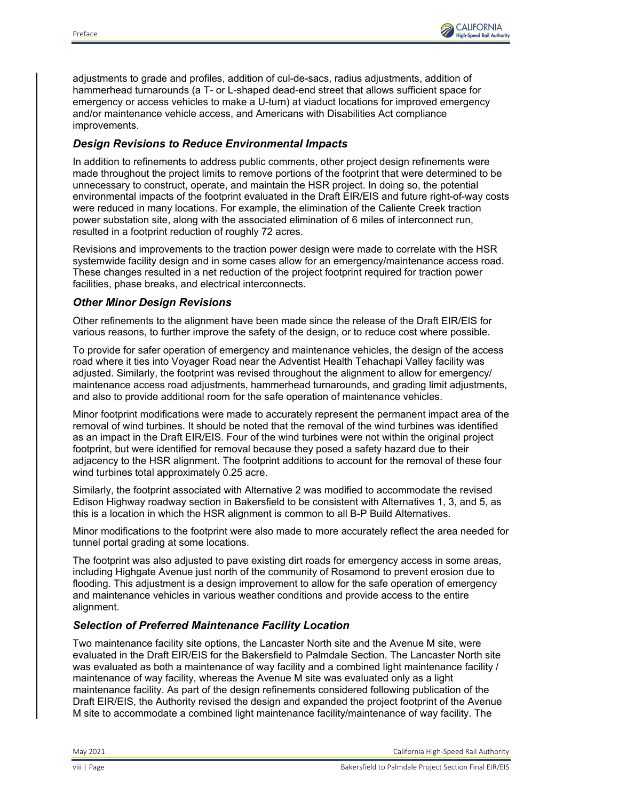

adjustments to grade and profiles, addition of cul-de-sacs, radius adjustments, addition of hammerhead turnarounds (a T- or L-shaped dead-end street that allows sufficient space for emergency or access vehicles to make a U-turn) at viaduct locations for improved emergency and/or maintenance vehicle access, and Americans with Disabilities Act compliance improvements.

## *Design Revisions to Reduce Environmental Impacts*

In addition to refinements to address public comments, other project design refinements were made throughout the project limits to remove portions of the footprint that were determined to be unnecessary to construct, operate, and maintain the HSR project. In doing so, the potential environmental impacts of the footprint evaluated in the Draft EIR/EIS and future right-of-way costs were reduced in many locations. For example, the elimination of the Caliente Creek traction power substation site, along with the associated elimination of 6 miles of interconnect run, resulted in a footprint reduction of roughly 72 acres.

Revisions and improvements to the traction power design were made to correlate with the HSR systemwide facility design and in some cases allow for an emergency/maintenance access road. These changes resulted in a net reduction of the project footprint required for traction power facilities, phase breaks, and electrical interconnects.

## *Other Minor Design Revisions*

Other refinements to the alignment have been made since the release of the Draft EIR/EIS for various reasons, to further improve the safety of the design, or to reduce cost where possible.

To provide for safer operation of emergency and maintenance vehicles, the design of the access road where it ties into Voyager Road near the Adventist Health Tehachapi Valley facility was adjusted. Similarly, the footprint was revised throughout the alignment to allow for emergency/ maintenance access road adjustments, hammerhead turnarounds, and grading limit adjustments, and also to provide additional room for the safe operation of maintenance vehicles.

Minor footprint modifications were made to accurately represent the permanent impact area of the removal of wind turbines. It should be noted that the removal of the wind turbines was identified as an impact in the Draft EIR/EIS. Four of the wind turbines were not within the original project footprint, but were identified for removal because they posed a safety hazard due to their adjacency to the HSR alignment. The footprint additions to account for the removal of these four wind turbines total approximately 0.25 acre.

Similarly, the footprint associated with Alternative 2 was modified to accommodate the revised Edison Highway roadway section in Bakersfield to be consistent with Alternatives 1, 3, and 5, as this is a location in which the HSR alignment is common to all B-P Build Alternatives.

Minor modifications to the footprint were also made to more accurately reflect the area needed for tunnel portal grading at some locations.

The footprint was also adjusted to pave existing dirt roads for emergency access in some areas, including Highgate Avenue just north of the community of Rosamond to prevent erosion due to flooding. This adjustment is a design improvement to allow for the safe operation of emergency and maintenance vehicles in various weather conditions and provide access to the entire alignment.

## *Selection of Preferred Maintenance Facility Location*

Two maintenance facility site options, the Lancaster North site and the Avenue M site, were evaluated in the Draft EIR/EIS for the Bakersfield to Palmdale Section. The Lancaster North site was evaluated as both a maintenance of way facility and a combined light maintenance facility / maintenance of way facility, whereas the Avenue M site was evaluated only as a light maintenance facility. As part of the design refinements considered following publication of the Draft EIR/EIS, the Authority revised the design and expanded the project footprint of the Avenue M site to accommodate a combined light maintenance facility/maintenance of way facility. The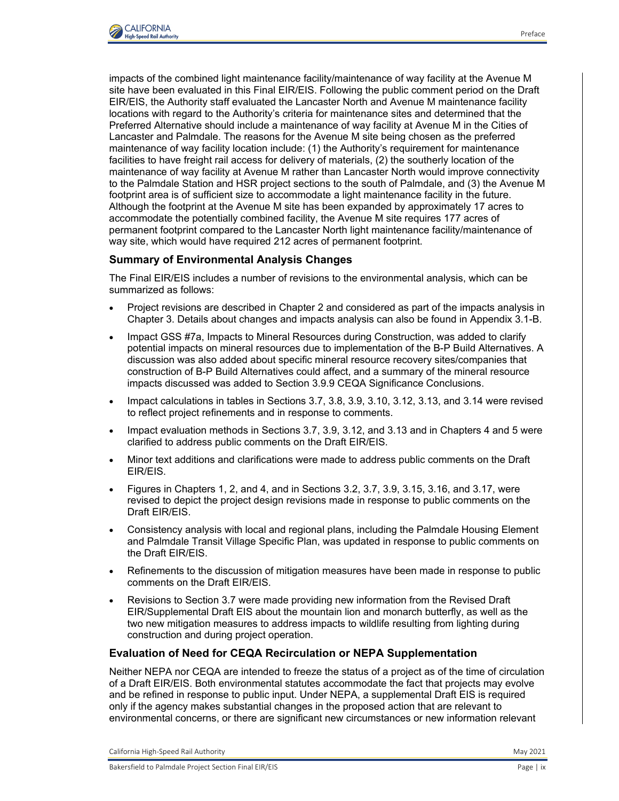

impacts of the combined light maintenance facility/maintenance of way facility at the Avenue M site have been evaluated in this Final EIR/EIS. Following the public comment period on the Draft EIR/EIS, the Authority staff evaluated the Lancaster North and Avenue M maintenance facility locations with regard to the Authority's criteria for maintenance sites and determined that the Preferred Alternative should include a maintenance of way facility at Avenue M in the Cities of Lancaster and Palmdale. The reasons for the Avenue M site being chosen as the preferred maintenance of way facility location include: (1) the Authority's requirement for maintenance facilities to have freight rail access for delivery of materials, (2) the southerly location of the maintenance of way facility at Avenue M rather than Lancaster North would improve connectivity to the Palmdale Station and HSR project sections to the south of Palmdale, and (3) the Avenue M footprint area is of sufficient size to accommodate a light maintenance facility in the future. Although the footprint at the Avenue M site has been expanded by approximately 17 acres to accommodate the potentially combined facility, the Avenue M site requires 177 acres of permanent footprint compared to the Lancaster North light maintenance facility/maintenance of way site, which would have required 212 acres of permanent footprint.

### **Summary of Environmental Analysis Changes**

The Final EIR/EIS includes a number of revisions to the environmental analysis, which can be summarized as follows:

- Project revisions are described in Chapter 2 and considered as part of the impacts analysis in Chapter 3. Details about changes and impacts analysis can also be found in Appendix 3.1-B.
- Impact GSS #7a, Impacts to Mineral Resources during Construction, was added to clarify potential impacts on mineral resources due to implementation of the B-P Build Alternatives. A discussion was also added about specific mineral resource recovery sites/companies that construction of B-P Build Alternatives could affect, and a summary of the mineral resource impacts discussed was added to Section 3.9.9 CEQA Significance Conclusions.
- Impact calculations in tables in Sections 3.7, 3.8, 3.9, 3.10, 3.12, 3.13, and 3.14 were revised to reflect project refinements and in response to comments.
- Impact evaluation methods in Sections 3.7, 3.9, 3.12, and 3.13 and in Chapters 4 and 5 were clarified to address public comments on the Draft EIR/EIS.
- Minor text additions and clarifications were made to address public comments on the Draft EIR/EIS.
- Figures in Chapters 1, 2, and 4, and in Sections 3.2, 3.7, 3.9, 3.15, 3.16, and 3.17, were revised to depict the project design revisions made in response to public comments on the Draft EIR/EIS.
- Consistency analysis with local and regional plans, including the Palmdale Housing Element and Palmdale Transit Village Specific Plan, was updated in response to public comments on the Draft EIR/EIS.
- Refinements to the discussion of mitigation measures have been made in response to public comments on the Draft EIR/EIS.
- Revisions to Section 3.7 were made providing new information from the Revised Draft EIR/Supplemental Draft EIS about the mountain lion and monarch butterfly, as well as the two new mitigation measures to address impacts to wildlife resulting from lighting during construction and during project operation.

#### **Evaluation of Need for CEQA Recirculation or NEPA Supplementation**

Neither NEPA nor CEQA are intended to freeze the status of a project as of the time of circulation of a Draft EIR/EIS. Both environmental statutes accommodate the fact that projects may evolve and be refined in response to public input. Under NEPA, a supplemental Draft EIS is required only if the agency makes substantial changes in the proposed action that are relevant to environmental concerns, or there are significant new circumstances or new information relevant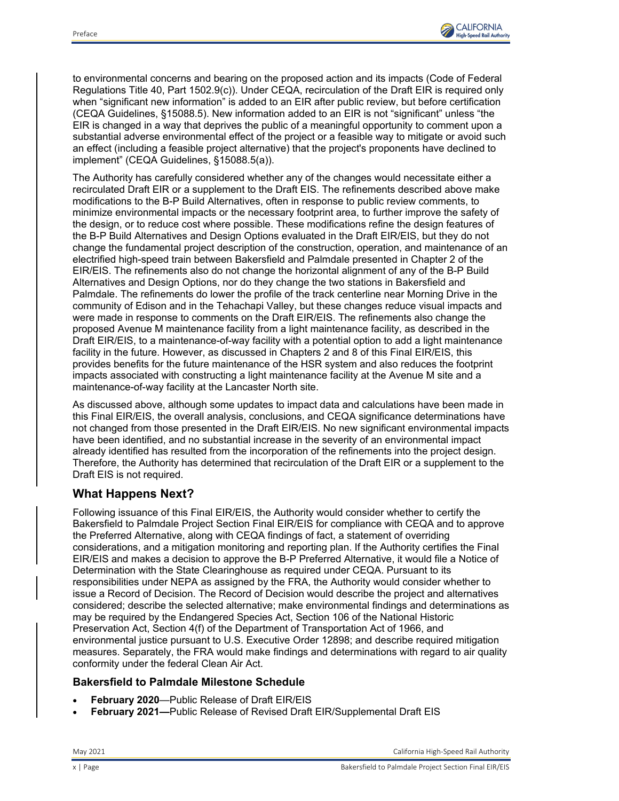

to environmental concerns and bearing on the proposed action and its impacts (Code of Federal Regulations Title 40, Part 1502.9(c)). Under CEQA, recirculation of the Draft EIR is required only when "significant new information" is added to an EIR after public review, but before certification (CEQA Guidelines, §15088.5). New information added to an EIR is not "significant" unless "the EIR is changed in a way that deprives the public of a meaningful opportunity to comment upon a substantial adverse environmental effect of the project or a feasible way to mitigate or avoid such an effect (including a feasible project alternative) that the project's proponents have declined to implement" (CEQA Guidelines, §15088.5(a)).

The Authority has carefully considered whether any of the changes would necessitate either a recirculated Draft EIR or a supplement to the Draft EIS. The refinements described above make modifications to the B-P Build Alternatives, often in response to public review comments, to minimize environmental impacts or the necessary footprint area, to further improve the safety of the design, or to reduce cost where possible. These modifications refine the design features of the B-P Build Alternatives and Design Options evaluated in the Draft EIR/EIS, but they do not change the fundamental project description of the construction, operation, and maintenance of an electrified high-speed train between Bakersfield and Palmdale presented in Chapter 2 of the EIR/EIS. The refinements also do not change the horizontal alignment of any of the B-P Build Alternatives and Design Options, nor do they change the two stations in Bakersfield and Palmdale. The refinements do lower the profile of the track centerline near Morning Drive in the community of Edison and in the Tehachapi Valley, but these changes reduce visual impacts and were made in response to comments on the Draft EIR/EIS. The refinements also change the proposed Avenue M maintenance facility from a light maintenance facility, as described in the Draft EIR/EIS, to a maintenance-of-way facility with a potential option to add a light maintenance facility in the future. However, as discussed in Chapters 2 and 8 of this Final EIR/EIS, this provides benefits for the future maintenance of the HSR system and also reduces the footprint impacts associated with constructing a light maintenance facility at the Avenue M site and a maintenance-of-way facility at the Lancaster North site.

As discussed above, although some updates to impact data and calculations have been made in this Final EIR/EIS, the overall analysis, conclusions, and CEQA significance determinations have not changed from those presented in the Draft EIR/EIS. No new significant environmental impacts have been identified, and no substantial increase in the severity of an environmental impact already identified has resulted from the incorporation of the refinements into the project design. Therefore, the Authority has determined that recirculation of the Draft EIR or a supplement to the Draft EIS is not required.

# **What Happens Next?**

Following issuance of this Final EIR/EIS, the Authority would consider whether to certify the Bakersfield to Palmdale Project Section Final EIR/EIS for compliance with CEQA and to approve the Preferred Alternative, along with CEQA findings of fact, a statement of overriding considerations, and a mitigation monitoring and reporting plan. If the Authority certifies the Final EIR/EIS and makes a decision to approve the B-P Preferred Alternative, it would file a Notice of Determination with the State Clearinghouse as required under CEQA. Pursuant to its responsibilities under NEPA as assigned by the FRA, the Authority would consider whether to issue a Record of Decision. The Record of Decision would describe the project and alternatives considered; describe the selected alternative; make environmental findings and determinations as may be required by the Endangered Species Act, Section 106 of the National Historic Preservation Act, Section 4(f) of the Department of Transportation Act of 1966, and environmental justice pursuant to U.S. Executive Order 12898; and describe required mitigation measures. Separately, the FRA would make findings and determinations with regard to air quality conformity under the federal Clean Air Act.

### **Bakersfield to Palmdale Milestone Schedule**

- **February 2020**—Public Release of Draft EIR/EIS
- **February 2021—**Public Release of Revised Draft EIR/Supplemental Draft EIS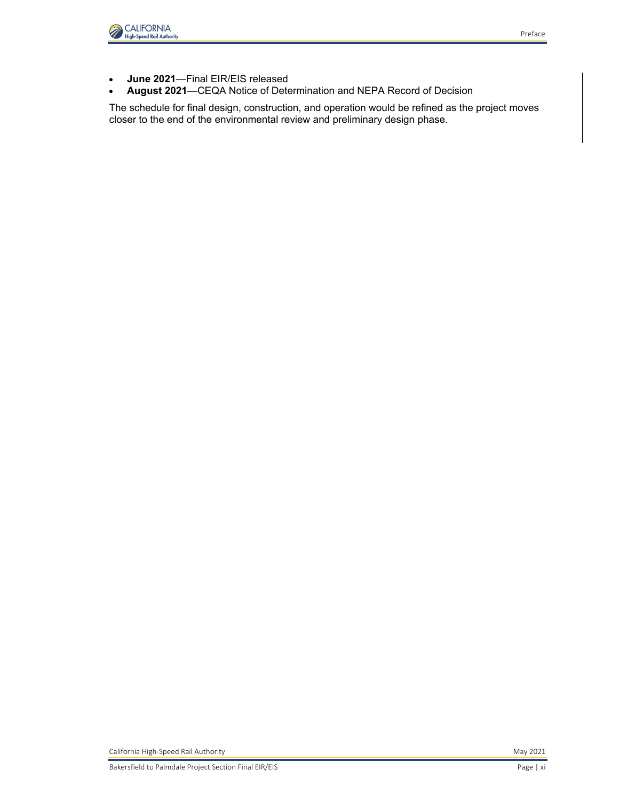

- **June 2021**—Final EIR/EIS released
- **August 2021**—CEQA Notice of Determination and NEPA Record of Decision

The schedule for final design, construction, and operation would be refined as the project moves closer to the end of the environmental review and preliminary design phase.